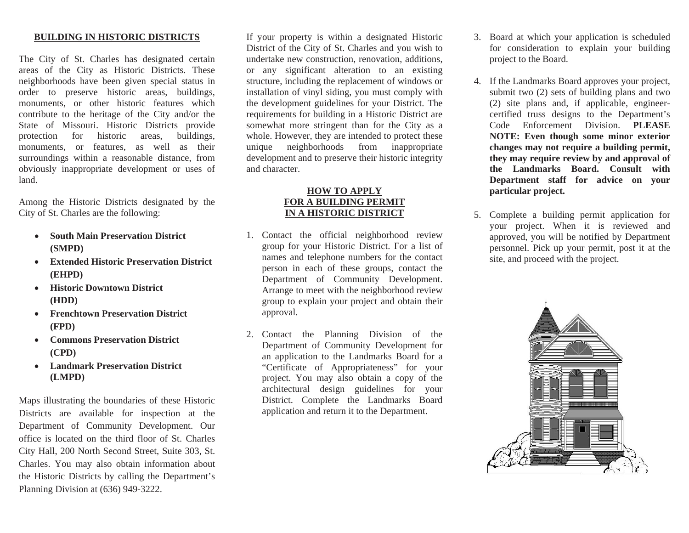## **BUILDING IN HISTORIC DISTRICTS**

The City of St. Charles has designated certain areas of the City as Historic Districts. These neighborhoods have been given special status in order to preserve historic areas, buildings, monuments, or other historic features which contribute to the heritage of the City and/or the State of Missouri. Historic Districts provide protection for historic areas, buildings, monuments, or features, as well as their surroundings within a reasonable distance, from obviously inappropriate development or uses of land.

Among the Historic Districts designated by the City of St. Charles are the following:

- • **South Main Preservation District (SMPD)**
- $\bullet$  **Extended Historic Preservation District (EHPD)**
- $\bullet$  **Historic Downtown District (HDD)**
- • **Frenchtown Preservation District (FPD)**
- • **Commons Preservation District (CPD)**
- **Landmark Preservation District (LMPD)**

Maps illustrating the boundaries of these Historic Districts are available for inspection at the Department of Community Development. Our office is located on the third floor of St. Charles City Hall, 200 North Second Street, Suite 303, St. Charles. You may also obtain information about the Historic Districts by calling the Department's Planning Division at (636) 949-3222.

If your property is within a designated Historic District of the City of St. Charles and you wish to undertake new construction, renovation, additions, or any significant alteration to an existing structure, including the replacement of windows or installation of vinyl siding, you must comply with the development guidelines for your District. The requirements for building in a Historic District are somewhat more stringent than for the City as a whole. However, they are intended to protect these unique neighborhoods from inappropriate development and to preserve their historic integrity and character.

## **HOW TO APPLY FOR A BUILDING PERMITIN A HISTORIC DISTRICT**

- 1. Contact the official neighborhood review group for your Historic District. For a list of names and telephone numbers for the contact person in each of these groups, contact the Department of Community Development. Arrange to meet with the neighborhood review group to explain your project and obtain their approval.
- 2. Contact the Planning Division of the Department of Community Development for an application to the Landmarks Board for a "Certificate of Appropriateness" for your project. You may also obtain a copy of the architectural design guidelines for your District. Complete the Landmarks Board application and return it to the Department.
- 3. Board at which your application is scheduled for consideration to explain your building project to the Board.
- 4. If the Landmarks Board approves your project, submit two (2) sets of building plans and two (2) site plans and, if applicable, engineercertified truss designs to the Department's Code Enforcement Division. **PLEASE NOTE: Even though some minor exterior changes may not require a building permit, they may require review by and approval of the Landmarks Board. Consult with Department staff for advice on your particular project.**
- 5. Complete a building permit application for your project. When it is reviewed and approved, you will be notified by Department personnel. Pick up your permit, post it at the site, and proceed with the project.